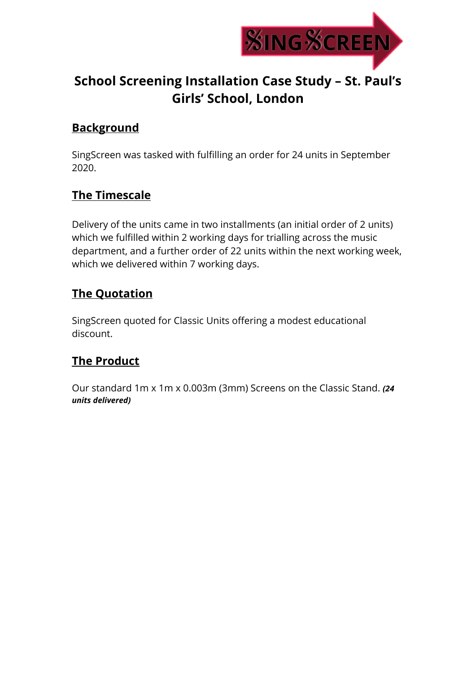

## **School Screening Installation Case Study – St. Paul's Girls' School, London**

## **Background**

SingScreen was tasked with fulfilling an order for 24 units in September 2020.

## **The Timescale**

Delivery of the units came in two installments (an initial order of 2 units) which we fulfilled within 2 working days for trialling across the music department, and a further order of 22 units within the next working week, which we delivered within 7 working days.

## **The Quotation**

SingScreen quoted for Classic Units offering a modest educational discount.

## **The Product**

Our standard 1m x 1m x 0.003m (3mm) Screens on the Classic Stand. *(24 units delivered)*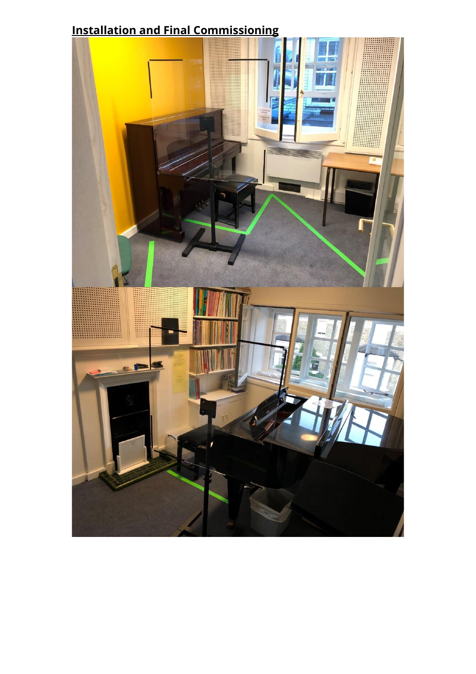# **Installation and Final Commissioning**

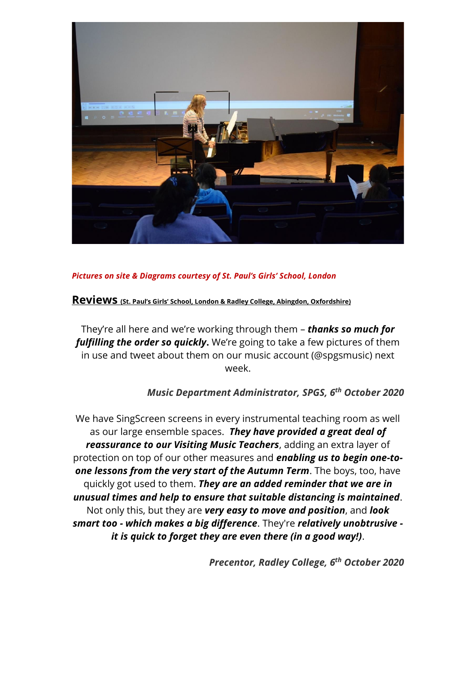

### *Pictures on site & Diagrams courtesy of St. Paul's Girls' School, London*

**Reviews (St. Paul's Girls' School, London & Radley College, Abingdon, Oxfordshire)**

They're all here and we're working through them – *thanks so much for fulfilling the order so quickly***.** We're going to take a few pictures of them in use and tweet about them on our music account (@spgsmusic) next week.

### *Music Department Administrator, SPGS, 6 th October 2020*

We have SingScreen screens in every instrumental teaching room as well as our large ensemble spaces. *They have provided a great deal of reassurance to our Visiting Music Teachers*, adding an extra layer of protection on top of our other measures and *enabling us to begin one-toone lessons from the very start of the Autumn Term*. The boys, too, have quickly got used to them. *They are an added reminder that we are in unusual times and help to ensure that suitable distancing is maintained*. Not only this, but they are *very easy to move and position*, and *look smart too - which makes a big difference*. They're *relatively unobtrusive it is quick to forget they are even there (in a good way!)*.

*Precentor, Radley College, 6 th October 2020*